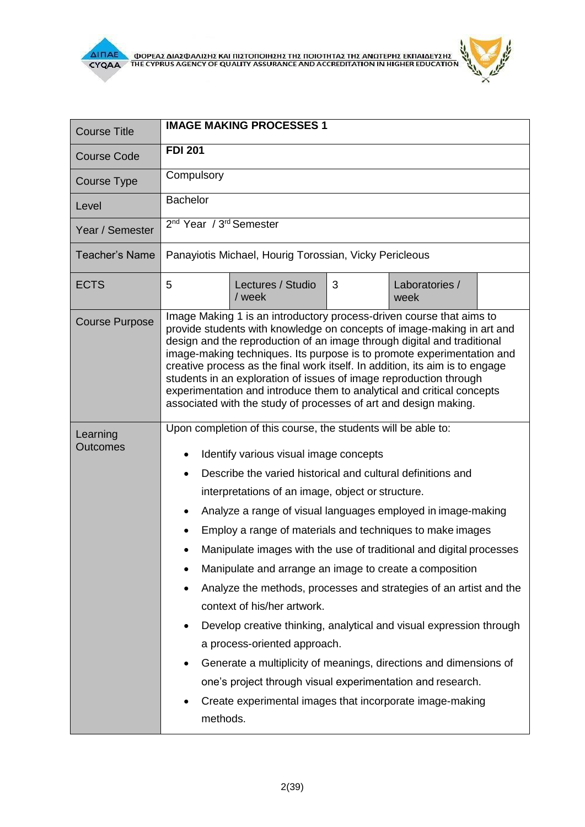

 $\frac{1}{2}$ 

| <b>Course Title</b>         | <b>IMAGE MAKING PROCESSES 1</b>                                                                                                                                                                                                                                                                                                                                                                                                                                                                                                                                                                                                                                                                                                                                                                                                                                                                                                                                       |  |  |  |
|-----------------------------|-----------------------------------------------------------------------------------------------------------------------------------------------------------------------------------------------------------------------------------------------------------------------------------------------------------------------------------------------------------------------------------------------------------------------------------------------------------------------------------------------------------------------------------------------------------------------------------------------------------------------------------------------------------------------------------------------------------------------------------------------------------------------------------------------------------------------------------------------------------------------------------------------------------------------------------------------------------------------|--|--|--|
| <b>Course Code</b>          | <b>FDI 201</b>                                                                                                                                                                                                                                                                                                                                                                                                                                                                                                                                                                                                                                                                                                                                                                                                                                                                                                                                                        |  |  |  |
| <b>Course Type</b>          | Compulsory                                                                                                                                                                                                                                                                                                                                                                                                                                                                                                                                                                                                                                                                                                                                                                                                                                                                                                                                                            |  |  |  |
| Level                       | <b>Bachelor</b>                                                                                                                                                                                                                                                                                                                                                                                                                                                                                                                                                                                                                                                                                                                                                                                                                                                                                                                                                       |  |  |  |
| Year / Semester             | 2 <sup>nd</sup> Year / 3 <sup>rd</sup> Semester                                                                                                                                                                                                                                                                                                                                                                                                                                                                                                                                                                                                                                                                                                                                                                                                                                                                                                                       |  |  |  |
| <b>Teacher's Name</b>       | Panayiotis Michael, Hourig Torossian, Vicky Pericleous                                                                                                                                                                                                                                                                                                                                                                                                                                                                                                                                                                                                                                                                                                                                                                                                                                                                                                                |  |  |  |
| <b>ECTS</b>                 | Lectures / Studio<br>3<br>5<br>Laboratories /<br>/ week<br>week                                                                                                                                                                                                                                                                                                                                                                                                                                                                                                                                                                                                                                                                                                                                                                                                                                                                                                       |  |  |  |
| <b>Course Purpose</b>       | Image Making 1 is an introductory process-driven course that aims to<br>provide students with knowledge on concepts of image-making in art and<br>design and the reproduction of an image through digital and traditional<br>image-making techniques. Its purpose is to promote experimentation and<br>creative process as the final work itself. In addition, its aim is to engage<br>students in an exploration of issues of image reproduction through<br>experimentation and introduce them to analytical and critical concepts<br>associated with the study of processes of art and design making.                                                                                                                                                                                                                                                                                                                                                               |  |  |  |
| Learning<br><b>Outcomes</b> | Upon completion of this course, the students will be able to:<br>Identify various visual image concepts<br>$\bullet$<br>Describe the varied historical and cultural definitions and<br>$\bullet$<br>interpretations of an image, object or structure.<br>Analyze a range of visual languages employed in image-making<br>Employ a range of materials and techniques to make images<br>Manipulate images with the use of traditional and digital processes<br>Manipulate and arrange an image to create a composition<br>Analyze the methods, processes and strategies of an artist and the<br>context of his/her artwork.<br>Develop creative thinking, analytical and visual expression through<br>$\bullet$<br>a process-oriented approach.<br>Generate a multiplicity of meanings, directions and dimensions of<br>$\bullet$<br>one's project through visual experimentation and research.<br>Create experimental images that incorporate image-making<br>methods. |  |  |  |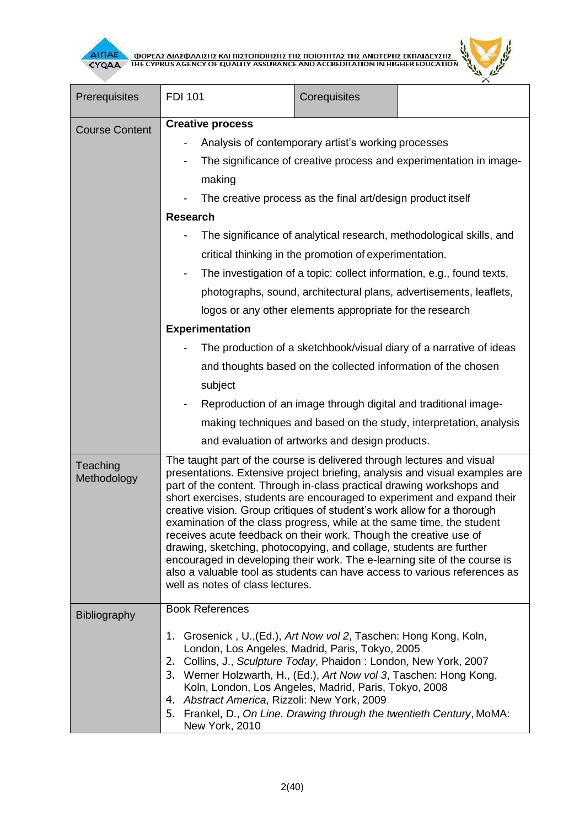



| Prerequisites           | <b>FDI 101</b>                                                                                                                                                                                                                                                                                                                                                                                                                                                                                                                                                                                                                                                                                                                                                                                           | Corequisites                                                  |  |  |  |
|-------------------------|----------------------------------------------------------------------------------------------------------------------------------------------------------------------------------------------------------------------------------------------------------------------------------------------------------------------------------------------------------------------------------------------------------------------------------------------------------------------------------------------------------------------------------------------------------------------------------------------------------------------------------------------------------------------------------------------------------------------------------------------------------------------------------------------------------|---------------------------------------------------------------|--|--|--|
|                         | <b>Creative process</b>                                                                                                                                                                                                                                                                                                                                                                                                                                                                                                                                                                                                                                                                                                                                                                                  |                                                               |  |  |  |
| <b>Course Content</b>   | Analysis of contemporary artist's working processes                                                                                                                                                                                                                                                                                                                                                                                                                                                                                                                                                                                                                                                                                                                                                      |                                                               |  |  |  |
|                         | The significance of creative process and experimentation in image-                                                                                                                                                                                                                                                                                                                                                                                                                                                                                                                                                                                                                                                                                                                                       |                                                               |  |  |  |
|                         | making                                                                                                                                                                                                                                                                                                                                                                                                                                                                                                                                                                                                                                                                                                                                                                                                   |                                                               |  |  |  |
|                         | The creative process as the final art/design product itself                                                                                                                                                                                                                                                                                                                                                                                                                                                                                                                                                                                                                                                                                                                                              |                                                               |  |  |  |
|                         | <b>Research</b>                                                                                                                                                                                                                                                                                                                                                                                                                                                                                                                                                                                                                                                                                                                                                                                          |                                                               |  |  |  |
|                         | The significance of analytical research, methodological skills, and                                                                                                                                                                                                                                                                                                                                                                                                                                                                                                                                                                                                                                                                                                                                      |                                                               |  |  |  |
|                         | critical thinking in the promotion of experimentation.                                                                                                                                                                                                                                                                                                                                                                                                                                                                                                                                                                                                                                                                                                                                                   |                                                               |  |  |  |
|                         | The investigation of a topic: collect information, e.g., found texts,                                                                                                                                                                                                                                                                                                                                                                                                                                                                                                                                                                                                                                                                                                                                    |                                                               |  |  |  |
|                         | photographs, sound, architectural plans, advertisements, leaflets,                                                                                                                                                                                                                                                                                                                                                                                                                                                                                                                                                                                                                                                                                                                                       |                                                               |  |  |  |
|                         | logos or any other elements appropriate for the research                                                                                                                                                                                                                                                                                                                                                                                                                                                                                                                                                                                                                                                                                                                                                 |                                                               |  |  |  |
|                         | <b>Experimentation</b>                                                                                                                                                                                                                                                                                                                                                                                                                                                                                                                                                                                                                                                                                                                                                                                   |                                                               |  |  |  |
|                         | The production of a sketchbook/visual diary of a narrative of ideas                                                                                                                                                                                                                                                                                                                                                                                                                                                                                                                                                                                                                                                                                                                                      |                                                               |  |  |  |
|                         |                                                                                                                                                                                                                                                                                                                                                                                                                                                                                                                                                                                                                                                                                                                                                                                                          | and thoughts based on the collected information of the chosen |  |  |  |
|                         | subject                                                                                                                                                                                                                                                                                                                                                                                                                                                                                                                                                                                                                                                                                                                                                                                                  |                                                               |  |  |  |
|                         | Reproduction of an image through digital and traditional image-                                                                                                                                                                                                                                                                                                                                                                                                                                                                                                                                                                                                                                                                                                                                          |                                                               |  |  |  |
|                         | making techniques and based on the study, interpretation, analysis                                                                                                                                                                                                                                                                                                                                                                                                                                                                                                                                                                                                                                                                                                                                       |                                                               |  |  |  |
|                         |                                                                                                                                                                                                                                                                                                                                                                                                                                                                                                                                                                                                                                                                                                                                                                                                          | and evaluation of artworks and design products.               |  |  |  |
| Teaching<br>Methodology | The taught part of the course is delivered through lectures and visual<br>presentations. Extensive project briefing, analysis and visual examples are<br>part of the content. Through in-class practical drawing workshops and<br>short exercises, students are encouraged to experiment and expand their<br>creative vision. Group critiques of student's work allow for a thorough<br>examination of the class progress, while at the same time, the student<br>receives acute feedback on their work. Though the creative use of<br>drawing, sketching, photocopying, and collage, students are further<br>encouraged in developing their work. The e-learning site of the course is<br>also a valuable tool as students can have access to various references as<br>well as notes of class lectures. |                                                               |  |  |  |
| <b>Bibliography</b>     | <b>Book References</b>                                                                                                                                                                                                                                                                                                                                                                                                                                                                                                                                                                                                                                                                                                                                                                                   |                                                               |  |  |  |
|                         | 1. Grosenick, U., (Ed.), Art Now vol 2, Taschen: Hong Kong, Koln,<br>London, Los Angeles, Madrid, Paris, Tokyo, 2005<br>Collins, J., Sculpture Today, Phaidon: London, New York, 2007<br>2.<br>3. Werner Holzwarth, H., (Ed.), Art Now vol 3, Taschen: Hong Kong,<br>Koln, London, Los Angeles, Madrid, Paris, Tokyo, 2008<br>Abstract America, Rizzoli: New York, 2009<br>4.<br>5. Frankel, D., On Line. Drawing through the twentieth Century, MoMA:<br>New York, 2010                                                                                                                                                                                                                                                                                                                                 |                                                               |  |  |  |